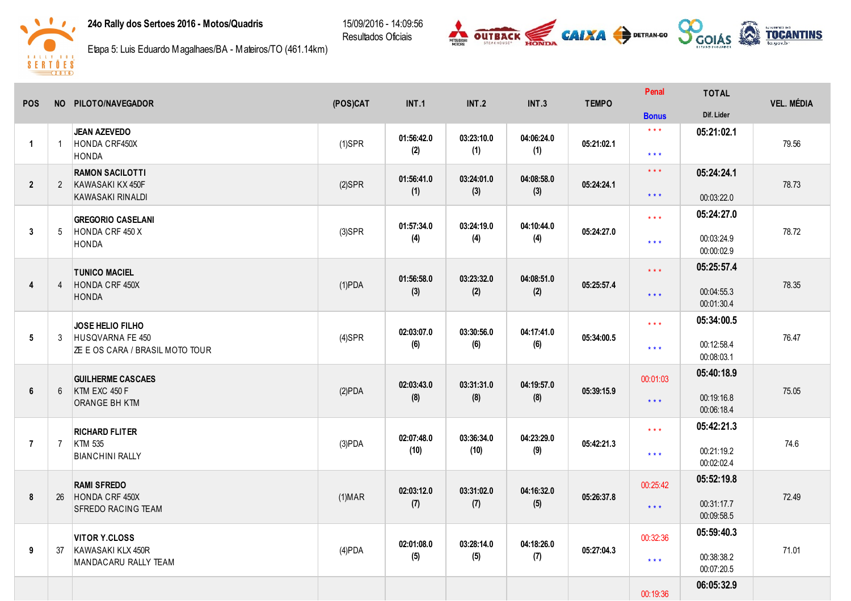## 24o Rally dos Sertoes 2016 - Motos/Quadris

15/09/2016 - 14:09:56 Resultados Oficiais





Etapa 5: Luis Eduardo Magalhaes/BA - Mateiros/TO (461.14km)

| <b>POS</b>              |                 | NO PILOTO/NAVEGADOR                    | (POS)CAT  | INT.1              | <b>INT.2</b>       | INT.3             | <b>TEMPO</b> | Penal                   | <b>TOTAL</b> | <b>VEL. MÉDIA</b> |
|-------------------------|-----------------|----------------------------------------|-----------|--------------------|--------------------|-------------------|--------------|-------------------------|--------------|-------------------|
|                         |                 |                                        |           |                    |                    |                   |              | <b>Bonus</b>            | Dif. Lider   |                   |
|                         |                 | <b>JEAN AZEVEDO</b>                    |           | 01:56:42.0         | 03:23:10.0         | 04:06:24.0        |              | $\star$ $\star$ $\star$ | 05:21:02.1   |                   |
| $\blacktriangleleft$    | $\overline{1}$  | HONDA CRF450X<br><b>HONDA</b>          | $(1)$ SPR | (2)                | (1)                | (1)               | 05:21:02.1   | $\star$ $\star$ $\star$ |              | 79.56             |
|                         |                 | <b>RAMON SACILOTTI</b>                 |           |                    |                    |                   |              | $\star \star \star$     | 05:24:24.1   |                   |
| $\overline{2}$          |                 | 2 KAWASAKI KX 450F                     | $(2)$ SPR | 01:56:41.0<br>(1)  | 03:24:01.0<br>(3)  | 04:08:58.0<br>(3) | 05:24:24.1   |                         |              | 78.73             |
|                         |                 | KAWASAKI RINALDI                       |           |                    |                    |                   |              | $***$                   | 00:03:22.0   |                   |
|                         |                 | <b>GREGORIO CASELANI</b>               |           | 01:57:34.0         | 03:24:19.0         | 04:10:44.0        |              | $\star \star \star$     | 05:24:27.0   |                   |
| $\overline{3}$          | $5\overline{)}$ | HONDA CRF 450 X<br><b>HONDA</b>        | $(3)$ SPR | (4)                | (4)                | (4)               | 05:24:27.0   | $\star$ $\star$ $\star$ | 00:03:24.9   | 78.72             |
|                         |                 |                                        |           |                    |                    |                   |              |                         | 00:00:02.9   |                   |
|                         |                 | <b>TUNICO MACIEL</b>                   |           | 01:56:58.0         | 03:23:32.0         | 04:08:51.0        |              | $\star$ $\star$ $\star$ | 05:25:57.4   |                   |
| $\overline{\mathbf{4}}$ | $\overline{4}$  | HONDA CRF 450X                         | $(1)$ PDA | (3)                | (2)                | (2)               | 05:25:57.4   | $\star \star \star$     | 00:04:55.3   | 78.35             |
|                         |                 | <b>HONDA</b>                           |           |                    |                    |                   |              |                         | 00:01:30.4   |                   |
|                         |                 | JOSE HELIO FILHO                       |           | 02:03:07.0         | 03:30:56.0         | 04:17:41.0        |              | $\star$ $\star$ $\star$ | 05:34:00.5   |                   |
| 5                       | 3               | HUSQVARNA FE 450                       | $(4)$ SPR | (6)                | (6)                | (6)               | 05:34:00.5   | $\star$ $\star$ $\star$ | 00:12:58.4   | 76.47             |
|                         |                 | <b>ZE E OS CARA / BRASIL MOTO TOUR</b> |           |                    |                    |                   |              |                         | 00:08:03.1   |                   |
|                         |                 | <b>GUILHERME CASCAES</b>               |           |                    |                    |                   |              | 00:01:03                | 05:40:18.9   |                   |
| 6                       | $6^{\circ}$     | KTM EXC 450 F                          | (2)PDA    | 02:03:43.0<br>(8)  | 03:31:31.0<br>(8)  | 04:19:57.0<br>(8) | 05:39:15.9   | $\star$ $\star$ $\star$ | 00:19:16.8   | 75.05             |
|                         |                 | ORANGE BH KTM                          |           |                    |                    |                   |              |                         | 00:06:18.4   |                   |
|                         |                 | <b>RICHARD FLITER</b>                  |           |                    |                    |                   |              | $\star \star \star$     | 05:42:21.3   |                   |
| $\overline{7}$          | $\overline{7}$  | <b>KTM 535</b>                         | $(3)$ PDA | 02:07:48.0<br>(10) | 03:36:34.0<br>(10) | 04:23:29.0<br>(9) | 05:42:21.3   |                         | 00:21:19.2   | 74.6              |
|                         |                 | <b>BIANCHINI RALLY</b>                 |           |                    |                    |                   |              | $\star$ $\star$ $\star$ | 00:02:02.4   |                   |
|                         |                 | <b>RAMI SFREDO</b>                     |           |                    |                    |                   |              | 00:25:42                | 05:52:19.8   |                   |
| $\pmb{8}$               | 26              | HONDA CRF 450X                         | $(1)$ MAR | 02:03:12.0<br>(7)  | 03:31:02.0<br>(7)  | 04:16:32.0<br>(5) | 05:26:37.8   |                         | 00:31:17.7   | 72.49             |
|                         |                 | SFREDO RACING TEAM                     |           |                    |                    |                   |              | $\star$ $\star$ $\star$ | 00:09:58.5   |                   |
|                         |                 | <b>VITOR Y.CLOSS</b>                   |           |                    |                    |                   |              | 00:32:36                | 05:59:40.3   |                   |
| 9                       | 37              | KAWASAKI KLX 450R                      | $(4)$ PDA | 02:01:08.0         | 03:28:14.0<br>(5)  | 04:18:26.0        | 05:27:04.3   |                         | 00:38:38.2   | 71.01             |
|                         |                 | MANDACARU RALLY TEAM                   |           | (5)                |                    | (7)               |              | $\star$ $\star$ $\star$ | 00:07:20.5   |                   |
|                         |                 |                                        |           |                    |                    |                   |              |                         | 06:05:32.9   |                   |
|                         |                 |                                        |           |                    |                    |                   |              | 00:19:36                |              |                   |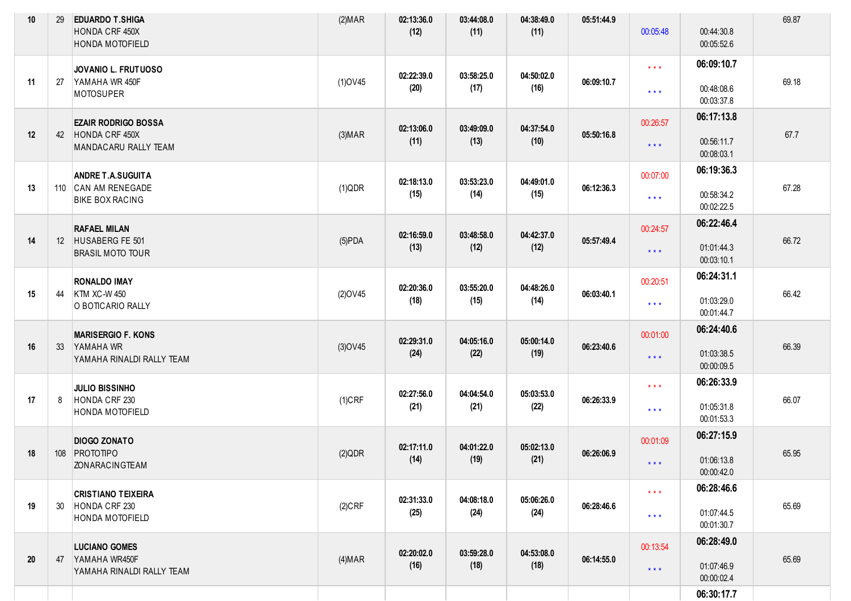| 10 | 29              | <b>EDUARDO T.SHIGA</b><br>HONDA CRF 450X<br>HONDA MOTOFIELD               | (2) <b>MAR</b> | 02:13:36.0<br>(12) | 03:44:08.0<br>(11) | 04:38:49.0<br>(11) | 05:51:44.9 | 00:05:48                                           | 00:44:30.8<br>00:05:52.6               | 69.87 |
|----|-----------------|---------------------------------------------------------------------------|----------------|--------------------|--------------------|--------------------|------------|----------------------------------------------------|----------------------------------------|-------|
| 11 | 27              | JOVANIO L. FRUTUOSO<br>YAMAHA WR 450F<br><b>MOTOSUPER</b>                 | $(1)$ OV45     | 02:22:39.0<br>(20) | 03:58:25.0<br>(17) | 04:50:02.0<br>(16) | 06:09:10.7 | $\star\star\star$<br>$\star\star\star$             | 06:09:10.7<br>00:48:08.6<br>00:03:37.8 | 69.18 |
| 12 |                 | <b>EZAIR RODRIGO BOSSA</b><br>42 HONDA CRF 450X<br>MANDACARU RALLY TEAM   | (3) <b>MAP</b> | 02:13:06.0<br>(11) | 03:49:09.0<br>(13) | 04:37:54.0<br>(10) | 05:50:16.8 | 00:26:57<br>$***$                                  | 06:17:13.8<br>00:56:11.7<br>00:08:03.1 | 67.7  |
| 13 |                 | <b>ANDRE T.A.SUGUITA</b><br>110 CAN AM RENEGADE<br><b>BIKE BOX RACING</b> | (1)QDR         | 02:18:13.0<br>(15) | 03:53:23.0<br>(14) | 04:49:01.0<br>(15) | 06:12:36.3 | 00:07:00<br>$\star\star\star$                      | 06:19:36.3<br>00:58:34.2<br>00:02:22.5 | 67.28 |
| 14 |                 | <b>RAFAEL MILAN</b><br>12 HUSABERG FE 501<br><b>BRASIL MOTO TOUR</b>      | $(5)$ PDA      | 02:16:59.0<br>(13) | 03:48:58.0<br>(12) | 04:42:37.0<br>(12) | 05:57:49.4 | 00:24:57<br>$\star$ $\star$ $\star$                | 06:22:46.4<br>01:01:44.3<br>00:03:10.1 | 66.72 |
| 15 | 44              | <b>RONALDO IMAY</b><br><b>KTM XC-W 450</b><br>O BOTICARIO RALLY           | $(2)$ OV45     | 02:20:36.0<br>(18) | 03:55:20.0<br>(15) | 04:48:26.0<br>(14) | 06:03:40.1 | 00:20:51<br>$\star\star\star$                      | 06:24:31.1<br>01:03:29.0<br>00:01:44.7 | 66.42 |
| 16 | 33 <sup>2</sup> | <b>MARISERGIO F. KONS</b><br>YAMAHA WR<br>YAMAHA RINALDI RALLY TEAM       | $(3)$ OV45     | 02:29:31.0<br>(24) | 04:05:16.0<br>(22) | 05:00:14.0<br>(19) | 06:23:40.6 | 00:01:00<br>$***$                                  | 06:24:40.6<br>01:03:38.5<br>00:00:09.5 | 66.39 |
| 17 | 8               | <b>JULIO BISSINHO</b><br>HONDA CRF 230<br><b>HONDA MOTOFIELD</b>          | $(1)$ CRF      | 02:27:56.0<br>(21) | 04:04:54.0<br>(21) | 05:03:53.0<br>(22) | 06:26:33.9 | $\star$ $\star$ $\star$<br>$\star$ $\star$ $\star$ | 06:26:33.9<br>01:05:31.8<br>00:01:53.3 | 66.07 |
| 18 |                 | <b>DIOGO ZONATO</b><br>108 PROTOTIPO<br>ZONARACINGTEAM                    | (2)QDR         | 02:17:11.0<br>(14) | 04:01:22.0<br>(19) | 05:02:13.0<br>(21) | 06:26:06.9 | 00:01:09<br>$***$                                  | 06:27:15.9<br>01:06:13.8<br>00:00:42.0 | 65.95 |
| 19 | 30              | <b>CRISTIANO TEIXEIRA</b><br>HONDA CRF 230<br>HONDA MOTOFIELD             | $(2)$ CRF      | 02:31:33.0<br>(25) | 04:08:18.0<br>(24) | 05:06:26.0<br>(24) | 06:28:46.6 | $\star$ $\star$ $\star$<br>$\star$ $\star$ $\star$ | 06:28:46.6<br>01:07:44.5<br>00:01:30.7 | 65.69 |
| 20 | 47              | <b>LUCIANO GOMES</b><br>YAMAHA WR450F<br>YAMAHA RINALDI RALLY TEAM        | (4) <b>MAP</b> | 02:20:02.0<br>(16) | 03:59:28.0<br>(18) | 04:53:08.0<br>(18) | 06:14:55.0 | 00:13:54<br>$\star$ $\star$ $\star$                | 06:28:49.0<br>01:07:46.9<br>00:00:02.4 | 65.69 |
|    |                 |                                                                           |                |                    |                    |                    |            |                                                    | 06:30:17.7                             |       |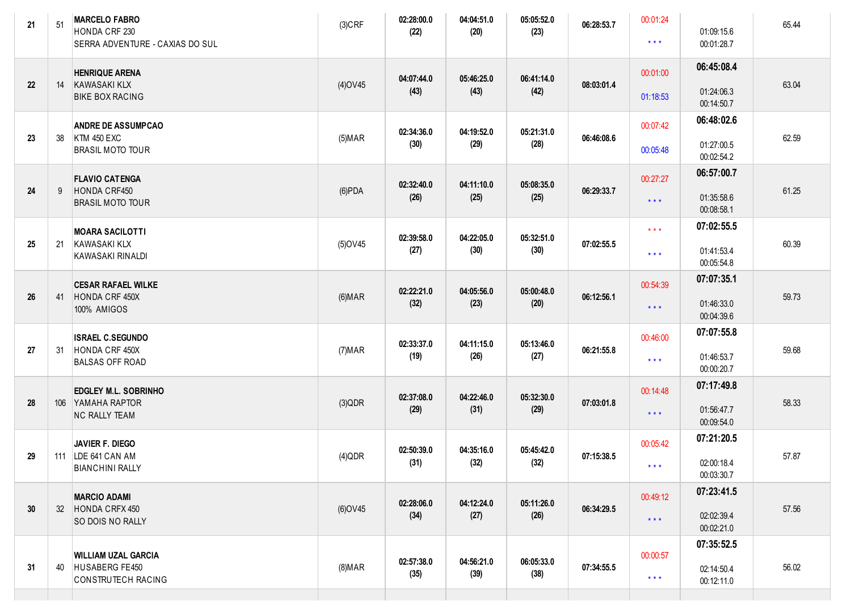| 21 | 51 | <b>MARCELO FABRO</b><br>HONDA CRF 230<br>SERRA ADVENTURE - CAXIAS DO SUL   | $(3)$ CRF      | 02:28:00.0<br>(22) | 04:04:51.0<br>(20) | 05:05:52.0<br>(23) | 06:28:53.7 | 00:01:24<br>$\star$ $\star$ $\star$ | 01:09:15.6<br>00:01:28.7               | 65.44 |
|----|----|----------------------------------------------------------------------------|----------------|--------------------|--------------------|--------------------|------------|-------------------------------------|----------------------------------------|-------|
| 22 | 14 | <b>HENRIQUE ARENA</b><br>KAWASAKI KLX<br><b>BIKE BOX RACING</b>            | $(4)$ OV45     | 04:07:44.0<br>(43) | 05:46:25.0<br>(43) | 06:41:14.0<br>(42) | 08:03:01.4 | 00:01:00<br>01:18:53                | 06:45:08.4<br>01:24:06.3<br>00:14:50.7 | 63.04 |
| 23 | 38 | <b>ANDRE DE ASSUMPCAO</b><br><b>KTM 450 EXC</b><br><b>BRASIL MOTO TOUR</b> | (5) <b>MAR</b> | 02:34:36.0<br>(30) | 04:19:52.0<br>(29) | 05:21:31.0<br>(28) | 06:46:08.6 | 00:07:42<br>00:05:48                | 06:48:02.6<br>01:27:00.5<br>00:02:54.2 | 62.59 |
| 24 | 9  | <b>FLAVIO CATENGA</b><br>HONDA CRF450<br><b>BRASIL MOTO TOUR</b>           | $(6)$ PDA      | 02:32:40.0<br>(26) | 04:11:10.0<br>(25) | 05:08:35.0<br>(25) | 06:29:33.7 | 00:27:27<br>$***$                   | 06:57:00.7<br>01:35:58.6<br>00:08:58.1 | 61.25 |
| 25 | 21 | <b>MOARA SACILOTTI</b><br>KAWASAKI KLX<br>KAWASAKI RINALDI                 | $(5)$ OV45     | 02:39:58.0<br>(27) | 04:22:05.0<br>(30) | 05:32:51.0<br>(30) | 07:02:55.5 | $\star$ $\star$ $\star$<br>$***$    | 07:02:55.5<br>01:41:53.4<br>00:05:54.8 | 60.39 |
| 26 | 41 | <b>CESAR RAFAEL WILKE</b><br>HONDA CRF 450X<br>100% AMIGOS                 | (6) <b>MAR</b> | 02:22:21.0<br>(32) | 04:05:56.0<br>(23) | 05:00:48.0<br>(20) | 06:12:56.1 | 00:54:39<br>$***$                   | 07:07:35.1<br>01:46:33.0<br>00:04:39.6 | 59.73 |
| 27 | 31 | <b>ISRAEL C.SEGUNDO</b><br>HONDA CRF 450X<br><b>BALSAS OFF ROAD</b>        | (7) <b>MAR</b> | 02:33:37.0<br>(19) | 04:11:15.0<br>(26) | 05:13:46.0<br>(27) | 06:21:55.8 | 00:46:00<br>$***$                   | 07:07:55.8<br>01:46:53.7<br>00:00:20.7 | 59.68 |
| 28 |    | <b>EDGLEY M.L. SOBRINHO</b><br>106 YAMAHA RAPTOR<br><b>NC RALLY TEAM</b>   | (3)QDR         | 02:37:08.0<br>(29) | 04:22:46.0<br>(31) | 05:32:30.0<br>(29) | 07:03:01.8 | 00:14:48<br>$***$                   | 07:17:49.8<br>01:56:47.7<br>00:09:54.0 | 58.33 |
| 29 |    | <b>JAVIER F. DIEGO</b><br>111   LDE 641 CAN AM<br><b>BIANCHINI RALLY</b>   | $(4)$ QDR      | 02:50:39.0<br>(31) | 04:35:16.0<br>(32) | 05:45:42.0<br>(32) | 07:15:38.5 | 00:05:42<br>* * *                   | 07:21:20.5<br>02:00:18.4<br>00:03:30.7 | 57.87 |
| 30 | 32 | <b>MARCIO ADAMI</b><br>HONDA CRFX 450<br>SO DOIS NO RALLY                  | (6) OV45       | 02:28:06.0<br>(34) | 04:12:24.0<br>(27) | 05:11:26.0<br>(26) | 06:34:29.5 | 00:49:12<br>$***$                   | 07:23:41.5<br>02:02:39.4<br>00:02:21.0 | 57.56 |
| 31 | 40 | <b>WILLIAM UZAL GARCIA</b><br>HUSABERG FE450<br>CONSTRUTECH RACING         | $(8)$ MAR      | 02:57:38.0<br>(35) | 04:56:21.0<br>(39) | 06:05:33.0<br>(38) | 07:34:55.5 | 00:00:57<br>$***$                   | 07:35:52.5<br>02:14:50.4<br>00:12:11.0 | 56.02 |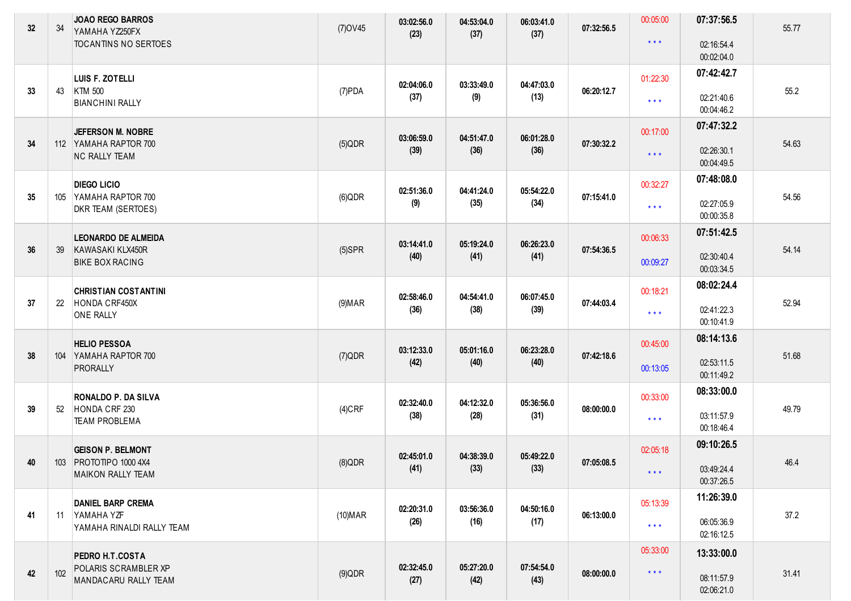| 32 | 34  | <b>JOAO REGO BARROS</b><br>YAMAHA YZ250FX<br>TOCANTINS NO SERTOES | $(7)$ OV45     | 03:02:56.0<br>(23) | 04:53:04.0<br>(37) | 06:03:41.0<br>(37) | 07:32:56.5 | 00:05:00<br>$\star$ $\star$ $\star$ | 07:37:56.5<br>02:16:54.4 | 55.77 |
|----|-----|-------------------------------------------------------------------|----------------|--------------------|--------------------|--------------------|------------|-------------------------------------|--------------------------|-------|
|    |     |                                                                   |                |                    |                    |                    |            |                                     | 00:02:04.0               |       |
|    |     | LUIS F. ZOTELLI                                                   |                |                    |                    |                    |            | 01:22:30                            | 07:42:42.7               |       |
| 33 | 43  | KTM 500<br><b>BIANCHINI RALLY</b>                                 | (7)PDA         | 02:04:06.0<br>(37) | 03:33:49.0<br>(9)  | 04:47:03.0<br>(13) | 06:20:12.7 | $\star\star\star$                   | 02:21:40.6<br>00:04:46.2 | 55.2  |
|    |     | JEFERSON M. NOBRE                                                 |                |                    |                    |                    |            | 00:17:00                            | 07:47:32.2               |       |
| 34 |     | 112 YAMAHA RAPTOR 700<br><b>NC RALLY TEAM</b>                     | $(5)$ QDR      | 03:06:59.0<br>(39) | 04:51:47.0<br>(36) | 06:01:28.0<br>(36) | 07:30:32.2 | $\star$ $\star$ $\star$             | 02:26:30.1<br>00:04:49.5 | 54.63 |
|    |     | <b>DIEGO LICIO</b>                                                |                |                    |                    |                    |            | 00:32:27                            | 07:48:08.0               |       |
| 35 |     | 105 YAMAHA RAPTOR 700<br>DKR TEAM (SERTOES)                       | $(6)$ QDR      | 02:51:36.0<br>(9)  | 04:41:24.0<br>(35) | 05:54:22.0<br>(34) | 07:15:41.0 | $\star$ $\star$ $\star$             | 02:27:05.9<br>00:00:35.8 | 54.56 |
|    |     | <b>LEONARDO DE ALMEIDA</b>                                        |                |                    |                    |                    |            | 00:06:33                            | 07:51:42.5               |       |
| 36 | 39  | KAWASAKI KLX450R                                                  | $(5)$ SPR      | 03:14:41.0<br>(40) | 05:19:24.0<br>(41) | 06:26:23.0<br>(41) | 07:54:36.5 |                                     | 02:30:40.4               | 54.14 |
|    |     | <b>BIKE BOX RACING</b>                                            |                |                    |                    |                    |            | 00:09:27                            | 00:03:34.5               |       |
|    |     | <b>CHRISTIAN COSTANTINI</b>                                       |                |                    |                    |                    |            | 00:18:21                            | 08:02:24.4               |       |
| 37 | 22  | HONDA CRF450X<br><b>ONE RALLY</b>                                 | (9) <b>MAR</b> | 02:58:46.0<br>(36) | 04:54:41.0<br>(38) | 06:07:45.0<br>(39) | 07:44:03.4 | $\star\star\star$                   | 02:41:22.3<br>00:10:41.9 | 52.94 |
|    |     | <b>HELIO PESSOA</b>                                               |                |                    |                    |                    |            | 00:45:00                            | 08:14:13.6               |       |
| 38 |     | 104 YAMAHA RAPTOR 700<br>PRORALLY                                 | (7)QDR         | 03:12:33.0<br>(42) | 05:01:16.0<br>(40) | 06:23:28.0<br>(40) | 07:42:18.6 | 00:13:05                            | 02:53:11.5<br>00:11:49.2 | 51.68 |
|    |     | RONALDO P. DA SILVA                                               |                |                    |                    |                    |            | 00:33:00                            | 08:33:00.0               |       |
| 39 | 52  | HONDA CRF 230                                                     | $(4)$ CRF      | 02:32:40.0<br>(38) | 04:12:32.0<br>(28) | 05:36:56.0<br>(31) | 08:00:00.0 |                                     | 03:11:57.9               | 49.79 |
|    |     | <b>TEAM PROBLEMA</b>                                              |                |                    |                    |                    |            | $\star$ $\star$ $\star$             | 00:18:46.4               |       |
|    |     | <b>GEISON P. BELMONT</b>                                          |                |                    |                    |                    |            | 02:05:18                            | 09:10:26.5               |       |
| 40 |     | 103 PROTOTIPO 1000 4X4                                            | $(8)$ QDR      | 02:45:01.0<br>(41) | 04:38:39.0<br>(33) | 05:49:22.0<br>(33) | 07:05:08.5 |                                     | 03:49:24.4               | 46.4  |
|    |     | MAIKON RALLY TEAM                                                 |                |                    |                    |                    |            | $\star$ $\star$ $\star$             | 00:37:26.5               |       |
|    |     | <b>DANIEL BARP CREMA</b>                                          |                |                    |                    | 04:50:16.0         |            | 05:13:39                            | 11:26:39.0               |       |
| 41 | 11  | YAMAHA YZF<br>YAMAHA RINALDI RALLY TEAM                           | (10) MAR       | 02:20:31.0<br>(26) | 03:56:36.0<br>(16) | (17)               | 06:13:00.0 | $\star$ $\star$ $\star$             | 06:05:36.9<br>02:16:12.5 | 37.2  |
|    |     | PEDRO H.T.COSTA                                                   |                |                    |                    |                    |            | 05:33:00                            | 13:33:00.0               |       |
| 42 | 102 | POLARIS SCRAMBLER XP<br>MANDACARU RALLY TEAM                      | $(9)$ QDR      | 02:32:45.0<br>(27) | 05:27:20.0<br>(42) | 07:54:54.0<br>(43) | 08:00:00.0 | $\star$ $\star$ $\star$             | 08:11:57.9<br>02:06:21.0 | 31.41 |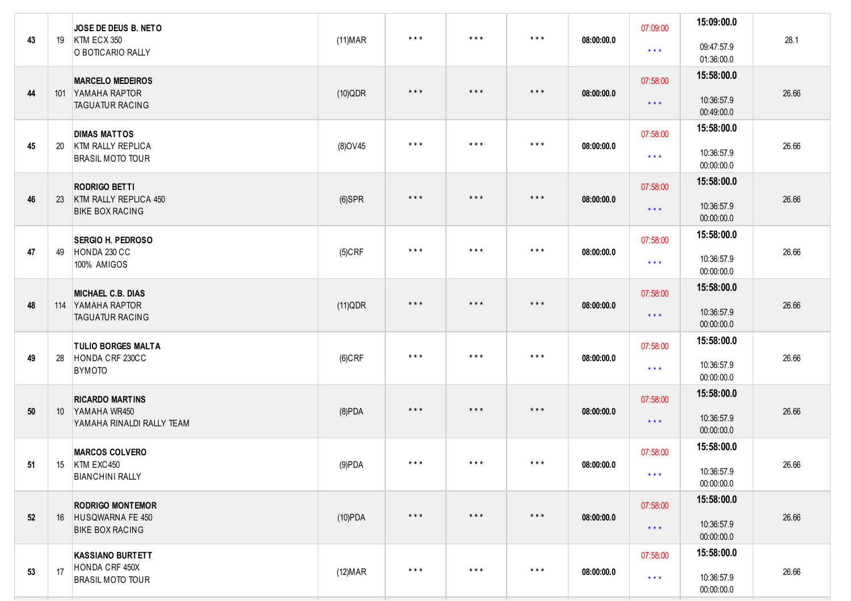| 43 | 19              | JOSE DE DEUS B. NETO<br>KTM ECX 350<br>O BOTICARIO RALLY                 | $(11)$ MAR      | $***$                   | $\star$ $\star$ $\star$ | $\star$ $\star$ $\star$ | 08:00:00.0 | 07:09:00<br>$\star$ $\star$ $\star$ | 15:09:00.0<br>09:47:57.9<br>01:36:00.0 | 28.1  |
|----|-----------------|--------------------------------------------------------------------------|-----------------|-------------------------|-------------------------|-------------------------|------------|-------------------------------------|----------------------------------------|-------|
| 44 |                 | <b>MARCELO MEDEIROS</b><br>101 YAMAHA RAPTOR<br><b>TAGUATUR RACING</b>   | $(10)$ QDR      | $\star$ $\star$ $\star$ | $\star$ $\star$ $\star$ | $\star$ $\star$ $\star$ | 08:00:00.0 | 07:58:00<br>$\star$ $\star$ $\star$ | 15:58:00.0<br>10:36:57.9<br>00:49:00.0 | 26.66 |
| 45 | 20              | <b>DIMAS MATTOS</b><br>KTM RALLY REPLICA<br><b>BRASIL MOTO TOUR</b>      | (8) OV45        | $\star$ $\star$ $\star$ | $\star$ $\star$ $\star$ | $\star$ $\star$ $\star$ | 08:00:00.0 | 07:58:00<br>$\star$ $\star$ $\star$ | 15:58:00.0<br>10:36:57.9<br>00:00:00.0 | 26.66 |
| 46 | 23              | <b>RODRIGO BETTI</b><br>KTM RALLY REPLICA 450<br><b>BIKE BOX RACING</b>  | $(6)$ SPR       | $\star$ $\star$ $\star$ | $\star$ $\star$ $\star$ | $\star$ $\star$ $\star$ | 08:00:00.0 | 07:58:00<br>$\star$ $\star$ $\star$ | 15:58:00.0<br>10:36:57.9<br>00:00:00.0 | 26.66 |
| 47 | 49              | <b>SERGIO H. PEDROSO</b><br>HONDA 230 CC<br>100% AMIGOS                  | $(5)$ CRF       | $\star$ $\star$ $\star$ | $\star$ $\star$ $\star$ | $\star$ $\star$ $\star$ | 08:00:00.0 | 07:58:00<br>$\star$ $\star$ $\star$ | 15:58:00.0<br>10:36:57.9<br>00:00:00.0 | 26.66 |
| 48 |                 | <b>MICHAEL C.B. DIAS</b><br>114 YAMAHA RAPTOR<br><b>TAGUATUR RACING</b>  | (11)QDR         | $\star$ $\star$ $\star$ | $***$                   | $\star$ $\star$ $\star$ | 08:00:00.0 | 07:58:00<br>$\star$ $\star$ $\star$ | 15:58:00.0<br>10:36:57.9<br>00:00:00.0 | 26.66 |
| 49 | 28              | <b>TULIO BORGES MALTA</b><br>HONDA CRF 230CC<br><b>BYMOTO</b>            | $(6)$ CRF       | $***$                   | $\star$ $\star$ $\star$ | $\star$ $\star$ $\star$ | 08:00:00.0 | 07:58:00<br>$\star$ $\star$ $\star$ | 15:58:00.0<br>10:36:57.9<br>00:00:00.0 | 26.66 |
| 50 | 10 <sup>°</sup> | <b>RICARDO MARTINS</b><br>YAMAHA WR450<br>YAMAHA RINALDI RALLY TEAM      | $(8)$ PDA       | $\star$ $\star$ $\star$ | $\star$ $\star$ $\star$ | $\star$ $\star$ $\star$ | 08:00:00.0 | 07:58:00<br>$\star$ $\star$ $\star$ | 15:58:00.0<br>10:36:57.9<br>00:00:00.0 | 26.66 |
| 51 |                 | <b>MARCOS COLVERO</b><br>15   KTM EXC450<br><b>BIANCHINI RALLY</b>       | (9)PDA          | $***$                   | $\star$ $\star$ $\star$ | $\star$ $\star$ $\star$ | 08:00:00.0 | 07:58:00<br>$\star$ $\star$ $\star$ | 15:58:00.0<br>10:36:57.9<br>00:00:00.0 | 26.66 |
| 52 |                 | <b>RODRIGO MONTEMOR</b><br>16 HUSQWARNA FE 450<br><b>BIKE BOX RACING</b> | $(10)$ PDA      | $\star$ $\star$ $\star$ | $\star$ $\star$ $\star$ | $\star$ $\star$ $\star$ | 08:00:00.0 | 07:58:00<br>$\star$ $\star$ $\star$ | 15:58:00.0<br>10:36:57.9<br>00:00:00.0 | 26.66 |
| 53 | 17              | <b>KASSIANO BURTETT</b><br>HONDA CRF 450X<br><b>BRASIL MOTO TOUR</b>     | (12) <b>MAR</b> | $\star$ $\star$ $\star$ | $\star$ $\star$ $\star$ | $***$                   | 08:00:00.0 | 07:58:00<br>$\star$ $\star$ $\star$ | 15:58:00.0<br>10:36:57.9<br>00:00:00.0 | 26.66 |